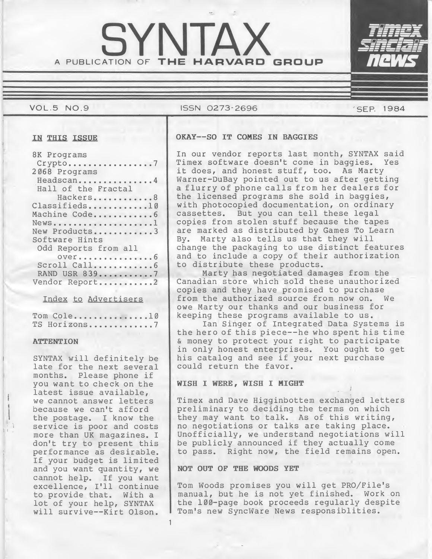# A PUBLICATION OF THE HARVARD GROUP SYNTZ

# VOL.5 NO.9 ISSN 0273-2696 SEP. 1984

| 8K Programs<br>$Crypto$ |
|-------------------------|
| 2068 Programs           |
| Headscan4               |
| Hall of the Fractal     |
| Hackers8                |
| Classifieds10           |
| Machine Code6           |
| $NewS$                  |
| New Products3           |
| Software Hints          |
| Odd Reports from all    |
| OVer6<br>Scroll Call    |
| RAND USR 8397           |
| Vendor Report2          |
|                         |

Index to Advertisers

Index to Advertisers<br>Tom Cole...............10<br>TS Horizons.............7

#### **ATTENTION**

SYNTAX will definitely be late for the next several months. Please phone if you want to check on the latest issue available, we cannot answer letters because we can't afford the postage. I know the service is poor and costs more than UK magazines. I don't try to present this performance as desirable. If your budget is limited and you want quantity, we cannot help. If you want excellence, I'll continue to provide that. With a lot of your help, SYNTAX will survive--Kirt Olson.

# IN THIS ISSUE | OKAY--SO IT COMES IN BAGGIES

In our vendor reports last month, SYNTAX said Timex software doesn't come in baggies. it does, and honest stuff, too. As Marty Warner-DuBay pointed out to us after getting <sup>a</sup> flurry of phone calls from her dealers for the licensed programs she sold in baggies, with photocopied documentation, on ordinary cassettes. But you can tell these legal copies from stolen stuff because the tapes are marked as distributed by Games To Learn By. Marty also tells us that they will change the packaging to use distinct features and to include a copy of their authorization to distribute these products.

Marty has negotiated damages from the Canadian store which sold these unauthorized copies and they have promised to purchase from the authorized source from now on. We owe Marty our thanks and our business for keeping these programs available to us.

Ian Singer of Integrated Data Systems is the hero of this piece—he who spent his time & money to protect your right to participate in only honest enterprises. You ought to get his catalog and see if your next purchase could return the favor.

# WISH I WERE, WISH I MIGHT

Timex and Dave Higginbottem exchanged letters preliminary to deciding the terms on which they may want to talk. As of this writing, no negotiations or talks are taking place. Unofficially, we understand negotiations will be publicly announced if they actually come to pass. Right now, the field remains open.

# NOT OUT OF THE WOODS YET

1

Tom Woods promises you will get PRO/File's manual, but he is not yet finished. Work on the 100-page book proceeds regularly despite Tom's new SyncWare News responsiblities.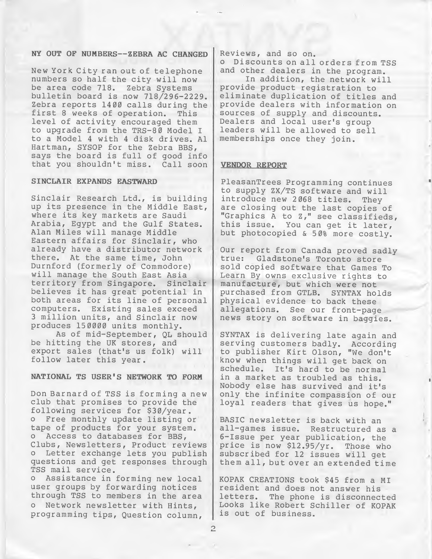# NY OUT OF NUMBERS--ZEBRA AC CHANGED

New York City ran out of telephone numbers so half the city will now be area code 718. Zebra Systems bulletin board is now 718/296-2229. Zebra reports 1400 calls during the first <sup>8</sup> weeks of operation. This level of activity encouraged them to upgrade from the TRS-80 Model I to a Model <sup>4</sup> with <sup>4</sup> disk drives. A1 Hartman, SYSOP for the Zebra BBS, says the board is full of good info<br>that you shouldn't miss. Call soon that you shouldn't miss.

# SINCLAIR EXPANDS EASTWARD

Sinclair Research Ltd., is building up its presence in the Middle East, where its key markets are Saudi Arabia, Egypt and the Gulf States. Alan Miles will manage Middle Eastern affairs for Sinclair, who already have a distributor network there. At the same time, John Durnford (formerly of Commodore) will manage the South East Asia territory from Singapore. Sinclair believes it has great potential in both areas for its line of personal computers. Existing sales exceed <sup>3</sup> million units, and Sinclair now produces 150000 units monthly.

As of mid-September, QL should be hitting the UK stores, and export sales (that's us folk) will follow later this year.

#### NATIONAL TS USER'S NETWORK TO FORM

Don Barnard of TSS is forming a new club that promises to provide the following services for \$30/year. <sup>o</sup> Free monthly update listing or tape of products for your system.<br>0 Access to databases for BBS. Access to databases for BBS, Clubs, Newsletters, Product reviews Letter exchange lets you publish questions and get responses through TSS mail service.

<sup>o</sup> Assistance in forming new local user groups by forwarding notices through TSS to members in the area Network newsletter with Hints, programming tips. Question column.

Reviews, and so on.

<sup>o</sup> Discounts on all orders from TSS and other dealers in the program.

In addition, the network will provide product registration to eliminate duplication of titles and provide dealers with information on sources of supply and discounts. Dealers and local user's group leaders will be allowed to sell memberships once they join.

#### VENDOR REPORT

PleasanTrees Programming continues to supply ZX/TS software and will<br>introduce new 2068 titles. They introduce new 2068 titles. are closing out the last copies of "Graphics A to Z," see classifieds, this issue. You can get it later, but photocopied & 50% more costly.

Our report from Canada proved sadly<br>true: Gladstone's Toronto store Gladstone's Toronto store sold copied software that Games To Learn By owns exclusive rights to manufacture, but which were not purchased from GTLB. SYNTAX holds physical evidence to back these allegations. See our front-page news story on software in baggies.

SYNTAX is delivering late again and serving customers badly. According to publisher Kirt Olson, "We don't know when things will get back on schedule. It's hard to be normal in <sup>a</sup> market as troubled as this. Nobody else has survived and it's only the infinite compassion of our loyal readers that gives us hope."

BASIC newsletter is back with an all-games issue. Restructured as a 6-Issue per year publication, the<br>price is now \$12.95/yr. Those who price is now \$12.95/yr. subscribed for <sup>12</sup> issues will get them all, but over an extended time

KOPAK CREATIONS took \$45 from a MI resident and does not answer his letters. The phone is disconnected Looks like Robert Schiller of KOPAK is out of business.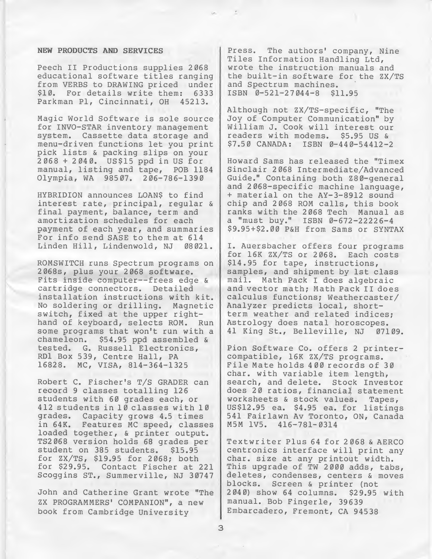#### NEW PRODUCTS AND SERVICES

Peech II Productions supplies 2068 educational software titles ranging from VERBS to DRAWING priced under \$10. For details write them: 6333 Parkman Pi, Cincinnati, OH 45213.

Magic World Software is sole source for INVO-STAR inventory management system. Cassette data storage and menu-driven functions let you print pick lists & packing slips on your 2068 <sup>+</sup> 2040. US\$15 ppd in US for manual, listing and tape, POB <sup>1184</sup> Olympia, WA 98507. 206-786-1390

HYBRIDION announces LOAN\$ to find interest rate, principal, regular & final payment, balance, term and amortization schedules for each payment of each year, and summaries For info send SASE to them at 614 Linden Hill, Lindenwold, NJ 08021.

ROMSWITCH runs Spectrum programs on 2068s, plus your 2068 software. Fits inside computer—frees edge & cartridge connectors. Detailed installation instructions with kit. No soldering or drilling. Magnetic switch, fixed at the upper righthand of keyboard, selects ROM. Run some programs that won't run with a chameleon. \$54.95 ppd assembled & tested. G. Russell Electronics, RDl Box 539, Centre Hall, PA 16828. MC, VISA, 814-364-1325

Robert C. Fischer's T/S GRADER can record <sup>9</sup> classes totalling <sup>126</sup> students with 60 grades each, or 412 students in 10 classes with 10 grades. Capacity grows 4.5 times in 64K. Features MC speed, classes loaded together, & printer output. TS2068 version holds 68 grades per student on 385 students. \$15.95 for ZX/TS, \$19.95 for 2068; both for \$29.95. Contact Fischer at 221 Scoggins ST., Summerville, NJ 30747

John and Catherine Grant wrote "The ZX PROGRAMMERS' COMPANION", a new book from Cambridge University

Press. The authors' company. Nine Tiles Information Handling Ltd, wrote the instruction manuals and the built-in software for the ZX/TS and Spectrum machines. ISBN 0-521-27044-8 \$11.95

Although not ZX/TS-specific, "The Joy of Computer Communication" by William J. Cook will interest our readers with modems. \$5.95 US & \$7.50 CANADA: ISBN 0-440-54412-2

Howard Sams has released the "Timex Sinclair 2068 Intermediate/Advanced Guide." Containing both Z80-general and 2068-specific machine language, <sup>+</sup> material on the AY-3-8912 sound chip and <sup>2068</sup> ROM calls, this book ranks with the 2068 Tech Manual as a "must buy." ISBN 0-672-22226-4 \$9.95 + \$2.00 P&H from Sams or SYNTAX

I. Auersbacher offers four programs for 16K ZX/TS or 2068. Each costs \$14.95 for tape, instructions, samples, and shipment by 1st class mail. Math Pack I does algebraic and vector math; Math Pack II does calculus functions; Weathercaster/ Analyzer predicts local, shortterm weather and related indices; Astrology does natal horoscopes.<br>41 King St., Belleville, NJ 07109. 41 King St., Belleville, NJ

Pion Software Co. offers <sup>2</sup> printercompatible, 16K ZX/TS programs. File Mate holds <sup>4</sup> <sup>00</sup> records of 30 char, with variable item length, search, and delete. Stock Investor does 20 ratios, financial statement worksheets & stock values. Tapes, US\$12.95 ea. \$4.95 ea. for listings 541 Fairlawn Av Toronto, ON, Canada M5M 1V5. 416-781-0314

Textwriter Plus <sup>64</sup> for <sup>2</sup> 068 & AERCO centronics interface will print any char, size at any printout width. This upgrade of TW 2000 adds, tabs, deletes, condenses, centers & moves blocks. Screen & printer (not 2040) show 64 columns. \$29.95 with manual. Bob Fingerle, 39639 Embarcadero, Fremont, CA 94538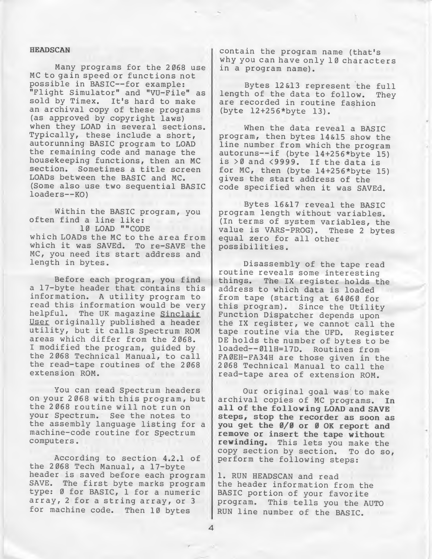### HEADSCAN

Many programs for the 2068 use MC to gain speed or functions not possible in BASIC--for example: "Flight Simulator" and "VU-File" as sold by Timex. It's hard to make an archival copy of these programs (as approved by copyright laws) when they LOAD in several sections. Typically, these include a short, autorunning BASIC program to LOAD the remaining code and manage the housekeeping functions, then an MC section. Sometimes <sup>a</sup> title screen LOADS between the BASIC and MC. (Some also use two sequential BASIC loaders—KO)

Within the BASIC program, you often find a line like: 10 LOAD ""CODE which LOADs the MC to the area from which it was SAVEd. To re-SAVE the MC, you need its start address and length in bytes.

Before each program, you find <sup>a</sup> 17-byte header that contains this information. <sup>A</sup> utility program to read this information would be very helpful. The UK magazine Sinclair User originally published a header utility, but it calls Spectrum ROM areas which differ from the 2068. I modified the program, guided by the 2068 Technical Manual, to call the read-tape routines of the 2068 extension ROM.

You can read Spectrum headers on your <sup>2</sup> <sup>068</sup> with this program, but the 2068 routine will not run on your Spectrum. See the notes to the assembly language listing for <sup>a</sup> machine-code routine for Spectrum computers.

According to section 4.2.1 of the 2068 Tech Manual, a 17-byte header is saved before each program SAVE. The first byte marks program type: <sup>0</sup> for BASIC, <sup>1</sup> for a numeric array, <sup>2</sup> for <sup>a</sup> string array, or <sup>3</sup> for machine code. Then 10 bytes

contain the program name (that's why you can have only 10 characters in a program name).

Bytes 12&13 represent the full length of the data to follow. They are recorded in routine fashion (byte 12+256\*byte 13).

When the data reveal a BASIC program, then bytes 14&15 show the line number from which the program autoruns—if (byte 14+256\*byte 15) is >0 and <9999. If the data is for MC, then (byte 14+256\*byte 15) gives the start address of the code specified when it was SAVEd.

Bytes 16&17 reveal the BASIC program length without variables. (In terms of system variables, the value is VARS-PROG). These <sup>2</sup> bytes equal zero for all other possibilities.

Disassembly of the tape read routine reveals some interesting things. The IX register holds the address to which data is loaded from tape (starting at 64060 for this program). Since the Utility Function Dispatcher depends upon the IX register, we cannot call the tape routine via the UFD. Register DE holds the number of bytes to be loaded—011H=17D. Routines from FA0EH-FA34H are those given in the 2068 Technical Manual to call the read-tape area of extension ROM.

Our original goal was to make archival copies of MC programs. In all of the following LOAD and SAVE steps, stop the recorder as soon as you get the 0/0 or <sup>0</sup> OK report and remove or insert the tape without rewinding. This lets you make the copy section by section. To do so, perform the following steps:

1. RUN HEADSCAN and read the header information from the BASIC portion of your favorite program. This tells you the AUTO RUN line number of the BASIC.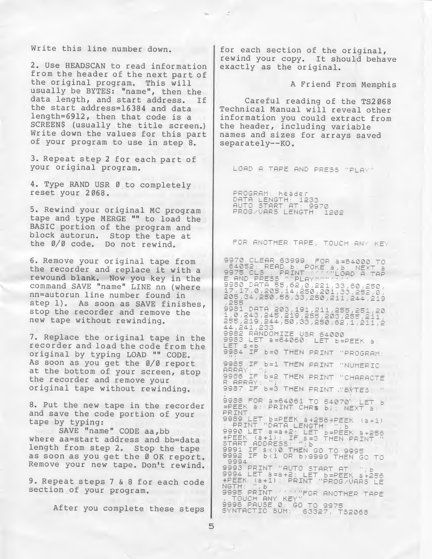Write this line number down.

2. Use HEADSCAN to read information from the header of the next part of the original program. This will usually be BYTES: "name", then the data length, and start address. If the start address=16384 and data length=6912, then that code is a SCREEN\$ (usually the title screen.) Write down the values for this part of your program to use in step 8.

3. Repeat step <sup>2</sup> for each part of your original program.

4. Type RAND USR <sup>0</sup> to completely reset your 2068.

5. Rewind your original MC program tape and type MERGE "" to load the BASIC portion of the program and block autorun. Stop the tape at the 0/0 code. Do not rewind.

6. Remove your original tape from the recorder and replace it with <sup>a</sup> rewound blank. Now you key in the command SAVE "name" LINE nn (where nn=autorun line number found in step 1). As soon as SAVE finishes, stop the recorder and remove the new tape without rewinding.

7. Replace the original tape in the recorder and load the code from the original by typing LOAD "" CODE. As soon as you get the 0/0 report at the bottom of your screen, stop the recorder and remove your original tape without rewinding.

8. Put the new tape in the recorder and save the code portion of your tape by typing:

SAVE "name" CODE aa,bb where aa=start address and bb=data length from step 2. Stop the tape as soon as you get the Ø OK report. Remove your new tape. Don't rewind.

9. Repeat steps <sup>7</sup> & <sup>8</sup> for each code section of your program.

After you complete these steps

for each section of the original, rewind your copy. It should behave exactly as the original.

<sup>A</sup> Friend From Memphis

Careful reading of the TS2068 Technical Manual will reveal other information you could extract from the header, including variable names and sizes for arrays saved separately—KO.

LOAD A TAPE AND PRESS "PLAY"

PROGRAM: header PROGRAM: Neader<br>DATA LENGTH: 1233<br>AUTO START AT: 9970<br>PROG/VARS LENGTH: 1202

FOR ANOTHER TAPE, TOUCH ANY KEY

9970 CLEAR 63999: FOR 8-64000 TO 9970 CLEAR 6399: FOR a=64000 TO<br>94052: READ b: POKE a,b: NEXT<br>975 CLS : PRINT (1990 A TAB<br>575 CLS : PRINT (1990 A TAB<br>580 DATA 55,62,0,221,33,80,252,0<br>17,17,0,205,14,250,201,33,252,0<br>105,34,250,53,33,250,211,244,219<br>9851 D  $44, 241$ 1982 RANDOMIZE USR 64000<br>9983 LET a=54050: LET B=PEEK a:<br>1973 LET a=54050: LET B=PEEK a: LET 9984 IF 6=0 THEN PRINT "PROGRAM: 9985 IF b=1 THEN PRINT "NUMERIC ARRAY: ") -- ''LN FRINT NOMERIC<br>9988-85 P.P. THEN PRINT "CHARACTE R ARRAY: 9987 IF 6=3 THEN PRINT "BYTES: "  $^{6998}_{220}$  FOR a=64061 TO 64070 LET b EPEEK ST PRINT CHR\$ BJ: NEXT 8:<br>PRINT PHINI<br>
PRINT "DATA LENGTH: ";b<br>
9989 LET a=a+2; LET b=PEEK a+256<br>
9990 LET a=a+2; LET b=PEEK a+256<br>
\*PEEK (a+1); IF s=3 THEN PRINT<br>
9781 IF s<>0 THEN GO TO 9995<br>
9991 IF s<>0 THEN GO TO 9995<br>
9991 IF s<>0 THEN GO TO 9995<br> 9994 PROFILMT "AUTO START AT 9994 LET a=a+2: LET b=PEEK a+256<br>\*PEEK (a+1): PRINT "PROG/VARS LE<br>NGTH: ":b" NGTH: 川目 9995 PRINT MANTEOR ANOTHER TAPE 9995 PRINT TO THE ROOM<br>9996 PAUSE 0: GO TO 9975<br>9996 PAUSE 0: GO TO 9975<br>SYNTACTIC SUM: 63327, TS2068

5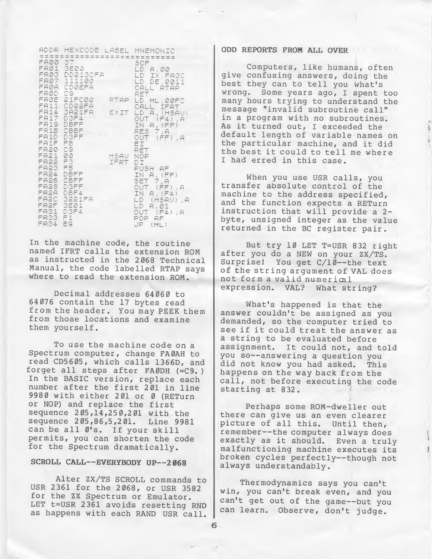|                                                                                                                                   | ADDR HEXCODE LABEL MNEMONIC                                                                   |                   |                                                                                                                                                     |
|-----------------------------------------------------------------------------------------------------------------------------------|-----------------------------------------------------------------------------------------------|-------------------|-----------------------------------------------------------------------------------------------------------------------------------------------------|
| FA00 37<br>FAØD C9.                                                                                                               | -------------------<br>FA01 3E00<br>FA03 DD213CFA<br>FA07 111100<br>FAØR CDØEFA               |                   | SCF<br>LD A,00<br>LD IX,FA30<br>LD DE,0011<br>CALL RTAP<br>RET                                                                                      |
| FA1F FB<br>FA20 C9                                                                                                                | FAØE 21FC00<br>FA11 CD22FA<br>FA14 SA21FA<br>FA17 D3F4<br>FA19 DBFF<br>FA1B CBBF<br>FA1D DSFF | RTAP.<br>EXIT     | LD HL,00FC<br>CALL IFRT<br>LD A, (HSAV)<br>OUT (F4),A<br>IN A,(FF)<br>RES 7,A<br>OUT (FF),A<br>Εİ                                                   |
| FA21 00<br>FA22 F3<br>FA23 F5<br>FA24 DBFF<br>FA26 CBFF<br>FA28 DSFF<br>FA2A DBF4<br>FA2F 3E01<br>FA31 D3F4<br>FA33 F1<br>FA34 E9 | FA2C 3221FA                                                                                   | HSAV NOP<br>IFRT. | RET<br>DI.<br>PUSH AF<br>IN $A$ , $(FF)$<br>SET 7,A<br>OUT (PF),A<br>IN $A$ , $(F4)$<br>LD (HSAV).A<br>LD A,01<br>OUT (F4), A<br>POP AF.<br>JP (HL) |

In the machine code, the routine named IFRT calls the extension ROM as instructed in the 2068 Technical Manual, the code labelled RTAP says where to read the extension ROM.

Decimal addresses 64060 to 64076 contain the 17 bytes read from the header. You may PEEK them from those locations and examine them yourself.

To use the machine code on a Spectrum computer, change FA0AH to read CD5605, which calls 1366D, and forget all steps after FA0DH (=C9. ) In the BASIC version, replace each number after the first <sup>201</sup> in line 9980 with either 201 or 0 (RETurn or NOP) and replace the first sequence <sup>2</sup> 05,14,250,201 with the sequence <sup>2</sup> 05,86,5,2 01. Line 9981 can be all Ø's. If your skill permits, you can shorten the code for the Spectrum dramatically.

# SCROLL CALL--EVERYBODY UP--2068

Alter ZX/TS SCROLL commands to USR 2361 for the 2068, or USR 3582 for the ZX Spectrum or Emulator. LET t=USR 2361 avoids resetting RND as happens with each RAND USR call.

# ODD REPORTS FROM ALL OVER

Computers, like humans, often give confusing answers, doing the best they can to tell you what's wrong. Some years ago, I spent too many hours trying to understand the message "invalid subroutine call" in a program with no subroutines. As it turned out, <sup>I</sup> exceeded the default length of variable names on the particular machine, and it did the best it could to tell me where I had erred in this case.

When you use USR calls, you transfer absolute control of the machine to the address specified, and the function expects a RETurn instruction that will provide a 2 byte, unsigned integer as the value returned in the BC register pair.

But try 10 LET T=USR <sup>832</sup> right after you do a NEW on your ZX/TS. Surprise! You get C/10--the text of the string argument of VAL does not form a valid numerical expression. VAL? What string?

What's happened is that the answer couldn't be assigned as you demanded, so the computer tried to see if it could treat the answer as a string to be evaluated before assignment. It could not, and told you so—answering a question you did not know you had asked. happens on the way back from the call, not before executing the code starting at 832.

Perhaps some ROM-dweller out there can give us an even clearer picture of all this. Until then, remember—the computer always does exactly as it should. Even <sup>a</sup> truly malfunctioning machine executes its broken cycles perfectly—though not always understandably.

Thermodynamics says you can't win, you can't break even, and you can't get out of the game--but you can learn. Observe, don't judge.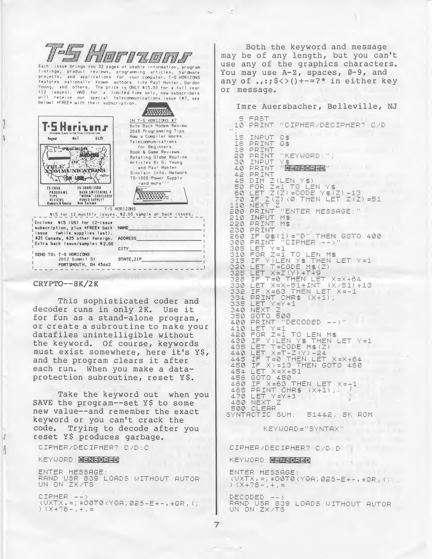| $\overline{\mathbf{m}}$<br><b>Allini</b><br>below) *FREE* with their subscription.                                                                                                                                                     | <b>THEIR AWAY AT AUTH ATTITUDE</b><br>Each issue brings you 32 pages of usable information, program<br>listings, product reviews, programming articles, hardware<br>projects, and applications for your computer. T-S HORIZONS<br>features nationally known authors like Paul Hunter, Gordon<br>Young, and others. The price is ONLY \$15.00 for a full year<br>(12 issues). AND for a limited time only, new subscribers<br>will receive our special telecommunications issue (#7, see |
|----------------------------------------------------------------------------------------------------------------------------------------------------------------------------------------------------------------------------------------|-----------------------------------------------------------------------------------------------------------------------------------------------------------------------------------------------------------------------------------------------------------------------------------------------------------------------------------------------------------------------------------------------------------------------------------------------------------------------------------------|
| $IIn$ . 7<br>\$1.25<br>August<br>Æ<br><b>FEBRA</b><br>TS-1000/1500<br>TS-2062<br>PROGRAMS<br><b>BANK SWITCHING 4</b><br>"WORM"-CONCIUDED<br><b>TIPS</b><br><b>REVIEWS</b><br>POWER SUPPLY?<br><b>Rumors &amp; Gossip</b><br>New Column | IN T-S HORIZONS #7<br>Byte Back Modem Review<br>2068 Programming Tips<br>How a Compiler Works<br>Telecommumications<br>for Beginners<br>Book & Game Reviews<br>Rotating Globe Routine<br>Articles By G. Young<br>and Paul Hunter<br>Sinclair Info. Network<br>TS-1000 Power Supply<br>$-$ and more!<br><b><i><u>PORTHER</u></i></b><br>                                                                                                                                                 |
|                                                                                                                                                                                                                                        | T-S HORIZONS                                                                                                                                                                                                                                                                                                                                                                                                                                                                            |
|                                                                                                                                                                                                                                        | \$15 for 12 monthly issues. \$2.00 sample or back issues.                                                                                                                                                                                                                                                                                                                                                                                                                               |
| inclose \$15 (US) for 12-issue<br>subscription, plus *FREE* back<br>ssue (while supplies last).<br>\$21 Canada, \$25 other foreign.<br>Extra back issue/sample: \$2.00                                                                 | NAME<br><b>ADDRESS</b><br>CITY                                                                                                                                                                                                                                                                                                                                                                                                                                                          |
| SEND TO: T-S HORIZONS<br>2002 Summit St                                                                                                                                                                                                | STATE, ZIP                                                                                                                                                                                                                                                                                                                                                                                                                                                                              |
| PORTSMOUTH, OH 45662                                                                                                                                                                                                                   |                                                                                                                                                                                                                                                                                                                                                                                                                                                                                         |

#### $CRYPTO--8K/2K$

This sophisticated coder and decoder runs in only 2K. Use it for fun as a stand-alone program, or create a subroutine to make your datafiles unintelligible without the keyword. Of course, keywords must exist somewhere, here it's Y\$, and the program clears it after each run. When you make a dataprotection subroutine, reset Y\$.

Take the keyword out when you SAVE the program--set Y\$ to some new value--and remember the exact keyword or you can't crack the Trying to decode after you code. reset Y\$ produces garbage.

CIPHER/DECIPHER? C/D:C

KEYUORD: NENNENEN

ENTER MESSAGE RAND USR 839 LOADS WITHOUT AUTOR<br>UN ON ZX/TS

СІРНЕR —— ><br>КОХТХ, =; \*О@Т@КҮQA; @2S—E+—, \*QR, (;<br>) (Х+?б—, +, =

Both the keyword and message may be of any length, but you can't use any of the graphics characters. You may use  $A-Z$ , spaces,  $\emptyset-9$ , and any of ..:;  $\frac{2}{3}$   $\left(\frac{1}{2} + \frac{1}{2}\right)$  in either key or message.

Imre Auersbacher, Belleville, NJ

5 FAST 10 PRINT "CIPHER/DECIPHER? C/D 15 INPUT 0\$ 16 PRINT 0\$<br>18 PRINT 20 PRINT "KEYUORD:"; 30 INPUT 40 PRINT " SENSIBILE" 42 PRINT 42 PRINT Z(LEN Y\$)<br>50 FOR Z=1 TO LEN Y\$<br>50 LET Z(Z)=CODE Y\$(Z)-13<br>70 IF Z(Z)=CODE Y\$(Z)-13<br>70 NEXT Z<br>110 NEXT Z 210 INPUT M\$ 230 PRINT 230 FRINT<br>260 IF 0\$(1)="D" THEN GOTO 400<br>300 PRINT "CIPHER -->" 300 PRINT<br>310 FOR Z=1 TO LEN M\$<br>310 FOR Z=1 TO LEN M\$<br>315 IF Y>LEN Y\$ THEN LET Y=1<br>328 LET X=Z(Y)+T+9<br>328 LET X=Z(Y)+T+9<br>328 LET X=Z(Y)+T+9 320 IFT X-80 (GEN LET AFAS)<br>330 LET X-X-51\*INT (X/51)+13<br>332 IF X-63 THEN LET X--1<br>334 PRINT CHR\$ (X+1); 335 LET"Y=Y+1"<br>340 NEXT Z<br>350 GOTO 500<br>400 PRINT "DECODED -->" 400 PRINT<br>420 FOR Z=1 TO LEN M\$<br>430 IF Y>LEN Y\$ THEN LET Y=1<br>430 IF Y>LEN Y\$ THEN<br>435 LET T=CODE M\$(Z)<br>440 LET X=T-Z(Y)-24<br>445 IF T=0 THEN LET X=X+54<br>450 IF X>=13 THEN GOTO 450<br>454 LET X=X=3 THEN GOTO 450<br>454 LET X=X+51 456 GOTO 450 460 IF X=63 THEN LET  $X = -1$ <br>465 PRINT CHR\$ (X+1); 470 LET Y=Y+1 500 CLEAR SYNTACTIC SUM: 51442, SK ROM

KEYUORD="SYNTAX"

CIPHER/DECIPHER? C/D:D

KEYUORD: CENSORED

ENTER MESSAGE: (UXTX, =) #00T0(YQA) 02S-E+-, #QR, ()<br>) (X+?6-, +, =

DECODED --)<br>RAND USR 839 LOADS UITHOUT AUTOR<br>UN ON ZX/TS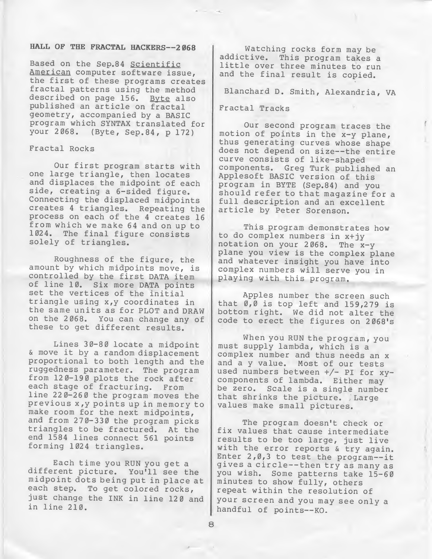# HALL OF THE FRACTAL HACKERS--2068

Based on the Sep.84 Scientific American computer software issue, the first of these programs creates fractal patterns using the method described on page 156. Byte also published an article on fractal geometry, accompanied by a BASIC program which SYNTAX translated for your 2068. (Byte, Sep.84, p 172)

Fractal Rocks

Our first program starts with one large triangle, then locates and displaces the midpoint of each side, creating a 6-sided figure. Connecting the displaced midpoints creates <sup>4</sup> triangles. Repeating the process on each of the <sup>4</sup> creates 16 from which we make 64 and on up to 1024. The final figure consists solely of triangles.

Roughness of the figure, the amount by which midpoints move, is controlled by the first DATA item of line 10. Six more DATA points set the vertices of the initial triangle using x,y coordinates in the same units as for PLOT and DRAW on the 2068. You can change any of these to get different results.

Lines 30-80 locate a midpoint & move it by <sup>a</sup> random displacement proportional to both length and the ruggedness parameter. The program from 120-190 plots the rock after each stage of fracturing. From line 220-260 the program moves the previous x,y points up in memory to make room for the next midpoints, and from 270-330 the program picks triangles to be fractured. At the end 1584 lines connect 561 points forming 1024 triangles.

Each time you RUN you get a different picture. You'll see the midpoint dots being put in place at each step. To get colored rocks, just change the INK in line 120 and in line 210.

Watching rocks form may be addictive. This program takes a little over three minutes to run and the final result is copied.

Blanchard D. Smith, Alexandria, VA

Fractal Tracks

Our second program traces the motion of points in the x-y plane, thus generating curves whose shape does not depend on size—the entire curve consists of like-shaped components. Greg Turk published an Applesoft BASIC version of this program in BYTE (Sep.84) and you should refer to that magazine for <sup>a</sup> full description and an excellent article by Peter Sorenson.

This program demonstrates how to do complex numbers in x+jy notation on your 2068. The x-y plane you view is the complex plane and whatever insight you have into complex numbers will serve you in playing with this program.

Apples number the screen such that 0,0 is top left and 159,279 is bottom right. We did not alter the code to erect the figures on 2068's

When you RUN the program, you must supply lambda, which is <sup>a</sup> complex number and thus needs an <sup>x</sup> and <sup>a</sup> <sup>y</sup> value. Most of our tests used numbers between +/- Pi for xycomponents of lambda. Either may be zero. Scale is a single number that shrinks the picture. , Large values make small pictures.

The program doesn't check or fix values that cause intermediate results to be too large, just live with the error reports & try again. Enter  $2, 0, 3$  to test the program--it gives <sup>a</sup> circle— then try as many as you wish. Some patterns take 15-60 minutes to show fully, others repeat within the resolution of your screen and you may see only a handful of points--KO.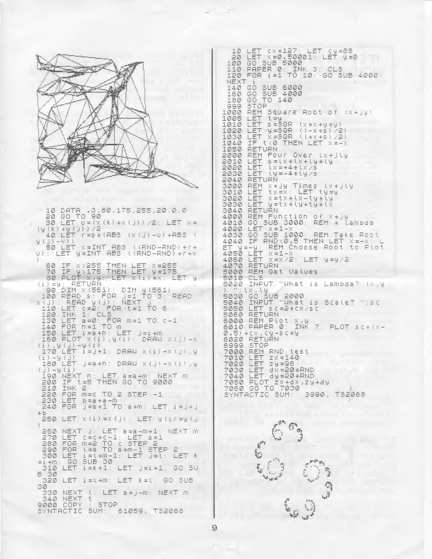LET CX=127: LET Cy=88  $10$ Ξē LET X=0.50001; LET 9=0<br>GO SUB 5000 100 PAPER 0: INK 110  $3:CL5$ FOR 1=1 TO 10: GO SUB 4000 120 NEXT 140 GO **SUB 6000** Â, 00 506 4000  $160$  $\overline{z}$  $180$ STOP 999 REM Square Root of 1000  $(x + iy)$ 1005 LET  $t = y$ <br> $s = 50R$ 1010 LET  $(x*x+yz+yz)$ LET 9=50R ((-x+s)/2)<br>LET x=50R ((+x+s)/2) 1020 1030 LET X=SOR ((+X+S)/2)<br>IF t<0 THEN LET X=-X 1040 1050 RETURN 2000 REM Four Over tx+jty Ŵ LET s=lx\*lx+ly\*ly<br>LET lx=+4\*lx/s 2010 2020  $LET$   $19 = -4 + 19/5$ 2030 **RETURN**  $2040$ REIN X+jy Times (x+jly<br>LET tx=x: LET ty=y<br>LET x=tx+lx-ty+ly<br>LET y=tx+lx-ty+ly<br>RETURN<br>RETURN 3000 3010 3020 3030 10 DATA (3,80,175,255,20,0,0<br>20 GO TO 90<br>30 LET U=(x(k)+x(j))/2; LET 3040 REM Function of x+jy<br>GO SUB 3000: REM \* lambda 4000  $50$ 4010  $\forall$  =  $(y(k) + y(t))$  /2 LET LET X=1-X<br>GO SUB 1000: REM Take Root 4020 40 LET  $r = s * (ABS (X (j) - U) + ABS$ 4030 y()) -v))<br>50 LET x=INT ABS ((RND-RND) \*r+<br>0): LET y=INT ABS ((RND-RND) \*r+ 20 IF RND(0,5 THEN'LET X=-X: L<br>Y=-Y: REM Choose Root to Plot<br>30 LET X=1-X<br>30 LE<u>T X</u>=X/2: LET Y=Y/2 4040 ET 4050 4060<br>4070 60 IF x>255 THEN LET x=255<br>70 IF y>175 THEN LET y=175<br>80 PLOT x,y: LET x(i)=x; L RETURN REM Get Values 5000 LET 5010 CLS 30 PLETÜŘN<br>
90 DIM x(561): DIM y(561)<br>
90 DIM x(561): DIM y(561)<br>
100 READ s: FOR j=1 TO 3:<br>
x(j): READ y(j): NEXT j<br>
120 INK 1: CL5<br>
120 INK 1: CL5<br>
120 INK 1: CL5<br>
120 INK 1: CL5 INPUT "What is Lambda? (x,y  $5020$ 1x, (y<br>
00 SUB 2000<br>
INPUT "What is Scale? ";sc<br>
LET sc=2\*cx/sc<br>
RETURN<br>
1 5030 READ 5040 5050 130 LET a=0: FOR<br>140 LET a=0: FOR<br>150 LET i=a+n: "<br>150 LET i=a+n: " S000 REPURN<br>5010 PAPER 0: INK 7: PLOT sc\*(x-0)<br>0.5)+cx,cy-sc\*y<br>5020 RETURN<br>5999 STOP<br>5999 STOP 5060  $r-1$ Low LET i=a+n: LET<br>160 PLOT X(i) UST<br>i) UST  $j = i + m$  $X(i)$ , y  $(i)$ : DRAU  $X(i) - X$  $\begin{pmatrix} 1 \\ 1 \end{pmatrix}$ ,  $\begin{pmatrix} 1 \\ 0 \end{pmatrix}$ ,  $-\frac{1}{2}$ ,  $\begin{pmatrix} 1 \\ 1 \end{pmatrix}$ ,  $-\frac{1}{2}$ ,  $\begin{pmatrix} 1 \\ 0 \end{pmatrix}$ ,  $-\frac{1}{2}$ ,  $\begin{pmatrix} 1 \\ 0 \end{pmatrix}$ ,  $-\frac{1}{2}$ ,  $\begin{pmatrix} 1 \\ 0 \end{pmatrix}$ ,  $-\frac{1}{2}$ REM RND test<br>LET zx=140 7000  $LET_Zx=14$ <br>LET  $zy=96$ (i) –y (j)<br>180 LET (j=a +n: DRAW X (j) –X (j) , y 7010 7020 7020 LET 24=25<br>7030 LET dx=20\*RND<br>7030 LET dy=20\*RND<br>7050 PLOT Zx+dx,Zy+dy<br>7050 GO TO 7030<br>SYNTACTIC SUM: 3990,  $(j) - y(i)$ <br>190 NE) NEXT n: LET a=a+m:<br>IF t=5 THEN GO TO \ NEXT  $200$ TO 9000 INK 2  $210$ 210 10R M=c TO 2 STEP -1<br>230 LET b=a+a-m 3990. **TS2068**  $240$ FOR  $j = a + 1$ TO a+m: LET  $i = i +$  $+5$ 250 LET  $x(i) = x(j)$ : LET  $y(i) = y(j)$  $\mathbf{\hat{j}}$  $260$ <br> $270$ NEXT  $j$ :  $\bar{v}$  $LET a = a - m + 1$ : NEXT m  $c = c + c - 1$ ; LET a=1<br>  $m=2$  TO c STEP 2<br>  $t=a$  TO c STEP 2<br>  $t=s$  TO a+m-1 STEP 2<br>  $\frac{1}{2}$ ,  $\frac{1}{2}$ , LET j=t; L LET  $\hat{\Xi}^{\hat{\Sigma}^{\hat{\mu}}}$ 280 FOR 290 FOR<br>300 LET b LET  $\frac{1}{2}$ SUB 30 GO.  $=i + m$ :  $\mathbb{E}^{\theta q}$ J.  $\mathbb{B}^{1/2}$  $310$  $LET_i i = k + 1$ : LET  $j = i + 1$ : GO SU  $\mathbb{E}_{\mathbb{Z}^2}$ B 30 ی ہے۔ 320 LET i=l+m: LET k=l: GO SUB 30 t: LET a=j-m: NEXT m 330 NEXT<br>340 NEXT  $\ddagger$ 9000 COPY **STOP** SUN: 61059, TS2068 SYNTACTIC

 $\Theta$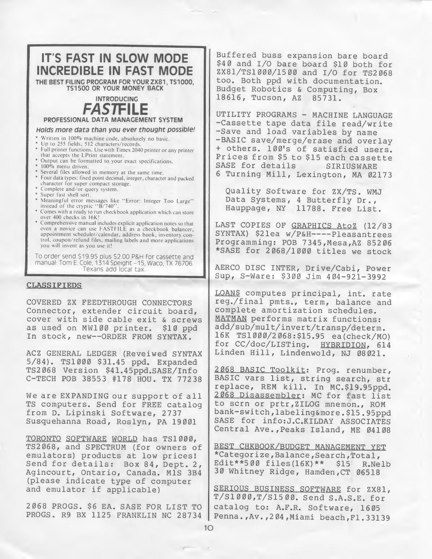

# CLASSIFIEDS

COVERED ZX FEEDTHROUGH CONNECTORS Connector, extender circuit board, cover with side cable exit & screws as used on MW100 printer. \$10 ppd In stock, new—ORDER FROM SYNTAX.

ACZ GENERAL LEDGER (Reveiwed SYNTAX 5/84). TS1000 \$31.45 ppd. Expanded TS2068 Version \$41.45ppd.SASE/Info C-TECH POB 38553 #178 HOU. TX 77238

We are EXPANDING our support of all TS computers. Send for FREE catalog from D. Lipinski Software, 2737 Susquehanna Road, Roslyn, PA 19001

TORONTO SOFTWARE WORLD has TS1000, TS2068, and SPECTRUM (for owners of emulators) products at low prices! Send for details: Box 84, Dept. 2, Agincourt, Ontario, Canada. MIS 3B4 (please indicate type of computer and emulator if applicable)

2068 PROGS. \$6 EA. SASE FOR LIST TO PROGS. R9 BX 1125 FRANKLIN NC 28734

Buffered buss expansion bare board \$40 and I/O bare board \$10 both for ZX81/TS1000/1500 and I/O for TS2068 too. Both ppd with documentation. Budget Robotics & Computing, Box 18616, Tucson, AZ 85731.

UTILITY PROGRAMS - MACHINE LANGUAGE -Cassette tape data file read/write -Save and load variables by name -BASIC save/merge/erase and overlay <sup>+</sup> others. 100's of satisfied users. Prices from \$5 to \$15 each cassette<br>SASE for details SIRIUSWARE SASE for details <sup>6</sup> Turning Mill, Lexington, MA 02173

Quality Software for ZX/TS. WMJ Data Systems, <sup>4</sup> Butterfly Dr., Hauppage, NY 11788. Free List.

LAST COPIES OF GRAPHICS AtoZ (12/83 SYNTAX) \$21ea w/P&H----Pleasantrees Programming: POB 7345,Mesa,AZ 85206 \*SASE for 2068/1000 titles we stock

AERCO DISC INTER, Drive/Cabi, Power Sup, S-Ware: \$300 Jim 404-921-3992

LOANS computes principal, int. rate reg./final pmts., term, balance and complete amortization schedules. MATMAN performs matrix functions: add/sub/mult/invert/transp/determ. 16K TS1000/2068:\$15.95 ea(check/MO) for CC/doc/LISTing. HYBRIDION, 614 Linden Hill, Lindenwold, NJ 08021.

2068 BASIC Toolkit: Prog, renumber, BASIC vars list, string search, str replace, REM kill. In MC.\$19.95ppd. 2068 Disassembler: MC for fast list to scrn or prtr,ZILOG mnemon., ROM bank-switch,labeling&more.\$15.95ppd SASE for info:J.C.KILDAY ASSOCIATES Central Ave.,Peaks Island, ME 04108

BEST CHKBOOK/BUDGET MANAGEMENT YET \*Categorize,Balance,Search,Total, Edit\*\*500 files(16K)\*\* \$15 30 Whitney Ridge, Hamden,CT 06518

SERIOUS BUSINESS SOFTWARE for ZX81, T/Sl 000,T/S15 00. Send S.A.S.E. for catalog to: A.F.R. Software, 1605 Penna.,Av.,204,Miami beach,FI.33139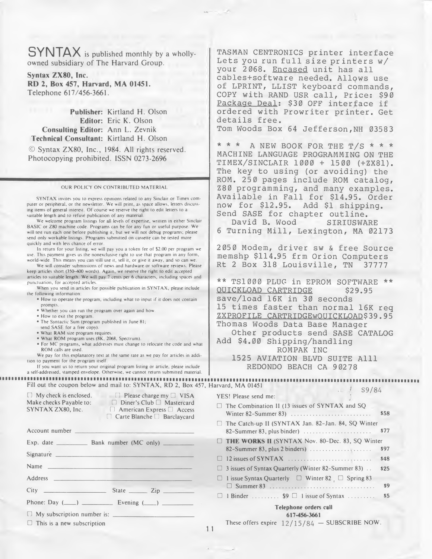SYNTAX is published monthly by <sup>a</sup> whollyowned subsidiary of The Harvard Group.

Syntax ZX80, Inc. RD 2, Box 457, Harvard, MA 01451. Telephone 617/456-3661.

Publisher: Kirtland H. Olson Editor: Eric K. Olson Consulting Editor: Ann L. Zevnik Technical Consultant: Kirtland H. Olson

© Syntax ZX80, Inc., 1984. All rights reserved. Photocopying prohibited. ISSN 0273-2696

#### OUR POLICY ON CONTRIBUTED MATERIAL

|                                                                                                                                                                                | so absig for avoiding, the<br>ROM. 250 pages include ROM catalog                                                                        |
|--------------------------------------------------------------------------------------------------------------------------------------------------------------------------------|-----------------------------------------------------------------------------------------------------------------------------------------|
| OUR POLICY ON CONTRIBUTED MATERIAL                                                                                                                                             | 280 programming, and many examples                                                                                                      |
| SYNTAX invites you to express opinions related to any Sinclair or Timex com-                                                                                                   | Available in Fall for \$14.95. Orde                                                                                                     |
| puter or peripheral, or the newsletter. We will print, as space allows, letters discuss-<br>ing items of general interest. Of course we reserve the right to edit letters to a | now for \$12.95. Add \$1 shipping.                                                                                                      |
| suitable length and to refuse publication of any material.<br>We welcome program listings for all levels of expertise, written in either Sinclair                              | Send SASE for chapter outline.<br>David B. Wood SIRIUSWARE                                                                              |
| BASIC or Z80 machine code. Programs can be for any fun or useful purpose. We<br>will test run each one before publishing it, but we will not debug programs; please            | 6 Turning Mill, Lexington, MA 0217                                                                                                      |
| send only workable listings. Programs submitted on cassette can be tested more                                                                                                 |                                                                                                                                         |
| quickly and with less chance of error.<br>In return for your listing, we will pay you a token fee of \$2.00 per program we                                                     | 2050 Modem, driver sw & free Sourc                                                                                                      |
| use. This payment gives us the nonexclusive right to use that program in any form,<br>world-wide. This means you can still use it, sell it, or give it away, and so can we.    | memshp \$114.95 frm Orion Computers                                                                                                     |
| We will consider submissions of news and hardware or software reviews. Please<br>keep articles short (350-400 words). Again, we reserve the right to edit accepted             | Rt 2 Box 318 Louisville, TN<br>37777                                                                                                    |
| articles to suitable length. We will pay 7 cents per 6 characters, including spaces and                                                                                        | ** TS1000 PLUG in EPROM SOFTWARE *                                                                                                      |
| punctuation, for accepted articles.<br>When you send in articles for possible publication in SYNTAX, please include                                                            | <b>OUICKLOAD CARTRIDGE</b><br>\$29.95                                                                                                   |
| the following information:<br>. How to operate the program, including what to input if it does not contain                                                                     | save/load 16K in 30 seconds                                                                                                             |
| prompts.<br>. Whether you can run the program over again and how.                                                                                                              | 15 times faster than normal 16K re                                                                                                      |
| • How to exit the program.                                                                                                                                                     | ZXPROFILE CARTRIDGEWOUICKLOAD\$39.9                                                                                                     |
| . The Syntactic Sum (program published in June 81;<br>send SASE for a free copy).                                                                                              | Thomas Woods Data Base Manager                                                                                                          |
| . What RAM size program requires.<br>· What ROM program uses (8K, 2068, Spectrum).                                                                                             | Other products send SASE CATALO<br>Add \$4.00 Shipping/handling                                                                         |
| . For MC programs, what addresses must change to relocate the code and what<br>ROM calls are used.                                                                             | ROMPAK INC                                                                                                                              |
| We pay for this explanatory text at the same rate as we pay for articles in addi-<br>tion to payment for the program itself.                                                   | 1525 AVIATION BLVD SUITE Alll                                                                                                           |
| If you want us to return your original program listing or article, please include                                                                                              | REDONDO BEACH CA 90278                                                                                                                  |
| a self-addressed, stamped envelope. Otherwise, we cannot return submitted material.<br><b></b>                                                                                 |                                                                                                                                         |
| Fill out the coupon below and mail to: SYNTAX, RD 2, Box 457, Harvard, MA 01451                                                                                                | S9/84                                                                                                                                   |
| $\Box$ My check is enclosed. $\Box$ Please charge my $\Box$ VISA                                                                                                               | YES! Please send me:                                                                                                                    |
| Make checks Payable to: Diner's Club D Mastercard<br>$SYNTAX ZX80$ , Inc. $\Box$ American Express $\Box$ Access                                                                | $\Box$ The Combination II (13 issues of SYNTAX and SQ                                                                                   |
| $\Box$ Carte Blanche $\Box$ Barclaycard                                                                                                                                        | Winter 82-Summer 83)<br>\$58                                                                                                            |
| Account number                                                                                                                                                                 | The Catch-up II (SYNTAX Jan. 82-Jan. 84, SQ Winter<br>\$77<br>82–Summer 83, plus binder) $\ldots$                                       |
|                                                                                                                                                                                | THE WORKS II (SYNTAX Nov. 80-Dec. 83, SQ Winter                                                                                         |
| Signature _                                                                                                                                                                    | \$97                                                                                                                                    |
| Name                                                                                                                                                                           | \$48                                                                                                                                    |
| Address                                                                                                                                                                        | $\Box$ 3 issues of Syntax Quarterly (Winter 82-Summer 83).<br>\$25<br>$\Box$ 1 issue Syntax Quarterly $\Box$ Winter 82 $\Box$ Spring 83 |
|                                                                                                                                                                                | \$9                                                                                                                                     |
| City                                                                                                                                                                           | \$5<br>$\Box$ 1 Binder  \$9 $\Box$ 1 issue of Syntax                                                                                    |
| Phone: Day $(\_\_\_\)$ $\_\_\_\_\$ Evening $(\_\_\)$                                                                                                                           | Telephone orders call                                                                                                                   |
| $\Box$ My subscription number is: $\Box$                                                                                                                                       | 617-456-3661                                                                                                                            |
| $\Box$ This is a new subscription                                                                                                                                              | These offers expire $12/15/84$ - SUBSCRIBE NOW.<br>11                                                                                   |
|                                                                                                                                                                                |                                                                                                                                         |
|                                                                                                                                                                                |                                                                                                                                         |
|                                                                                                                                                                                |                                                                                                                                         |
|                                                                                                                                                                                |                                                                                                                                         |
|                                                                                                                                                                                |                                                                                                                                         |
|                                                                                                                                                                                |                                                                                                                                         |

TASMAN CENTRONICS printer interface Lets you run full size printers w/ your 2068. Encased unit has all cables+software needed. Allows use of LPRINT, LLIST keyboard commands, COPY with RAND USR call. Price: \$90 Package Deal: \$30 OFF interface if ordered with Prowriter printer. Get details free.

Tom Woods Box 64 Jefferson, NH 03583

\* \* \* <sup>A</sup> NEW BOOK FOR THE T/S \* \* \* MACHINE LANGUAGE PROGRAMMING ON THE TIMEX/SINCLAIR 1000 + 1500 (+ZX81). The key to using (or avoiding) the ROM. 250 pages include ROM catalog, Z80 programming, and many examples. Available in Fall for \$14.95. Order now for \$12.95. Add \$1 shipping. Send SASE for chapter outline.<br>David B. Wood SIRIUSWARE